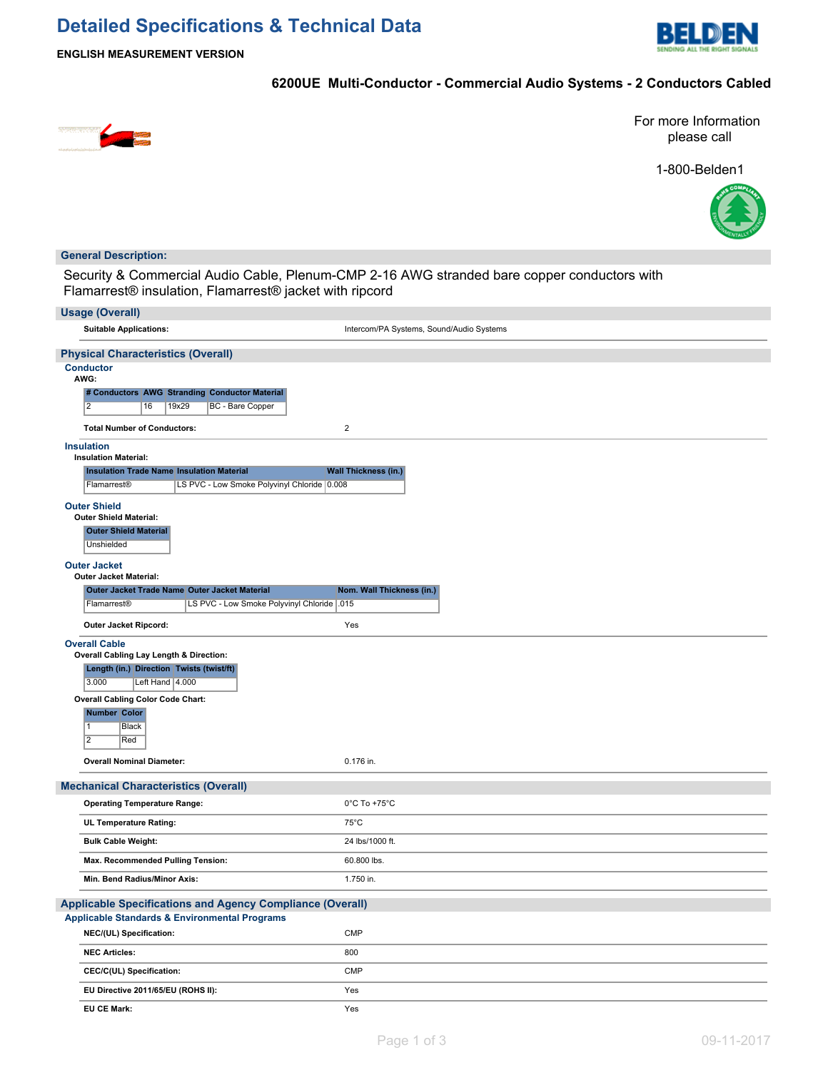# **Detailed Specifications & Technical Data**



**ENGLISH MEASUREMENT VERSION**

### **6200UE Multi-Conductor - Commercial Audio Systems - 2 Conductors Cabled**



For more Information please call

1-800-Belden1



### **General Description:**

Security & Commercial Audio Cable, Plenum-CMP 2-16 AWG stranded bare copper conductors with Flamarrest® insulation, Flamarrest® jacket with ripcord

| <b>Usage (Overall)</b>                                                                                      |                                          |  |
|-------------------------------------------------------------------------------------------------------------|------------------------------------------|--|
| <b>Suitable Applications:</b>                                                                               | Intercom/PA Systems, Sound/Audio Systems |  |
| <b>Physical Characteristics (Overall)</b>                                                                   |                                          |  |
| <b>Conductor</b><br>AWG:                                                                                    |                                          |  |
| # Conductors AWG Stranding Conductor Material                                                               |                                          |  |
| $\overline{2}$<br>19x29<br><b>BC</b> - Bare Copper<br>16                                                    |                                          |  |
| <b>Total Number of Conductors:</b>                                                                          | $\overline{2}$                           |  |
| <b>Insulation</b><br><b>Insulation Material:</b>                                                            |                                          |  |
| <b>Insulation Trade Name Insulation Material</b>                                                            | <b>Wall Thickness (in.)</b>              |  |
| Flamarrest®<br>LS PVC - Low Smoke Polyvinyl Chloride 0.008                                                  |                                          |  |
| <b>Outer Shield</b>                                                                                         |                                          |  |
| <b>Outer Shield Material:</b>                                                                               |                                          |  |
| <b>Outer Shield Material</b><br><b>Unshielded</b>                                                           |                                          |  |
| <b>Outer Jacket</b>                                                                                         |                                          |  |
| <b>Outer Jacket Material:</b>                                                                               |                                          |  |
| Outer Jacket Trade Name Outer Jacket Material<br>LS PVC - Low Smoke Polyvinyl Chloride   015<br>Flamarrest® | Nom. Wall Thickness (in.)                |  |
| Outer Jacket Ripcord:                                                                                       | Yes                                      |  |
| <b>Overall Cable</b>                                                                                        |                                          |  |
| Overall Cabling Lay Length & Direction:                                                                     |                                          |  |
| Length (in.) Direction Twists (twist/ft)<br>3.000<br>Left Hand   4.000                                      |                                          |  |
| Overall Cabling Color Code Chart:                                                                           |                                          |  |
| <b>Number Color</b>                                                                                         |                                          |  |
| $\overline{1}$<br><b>Black</b><br>$\overline{2}$                                                            |                                          |  |
| Red                                                                                                         |                                          |  |
| <b>Overall Nominal Diameter:</b>                                                                            | 0.176 in.                                |  |
| <b>Mechanical Characteristics (Overall)</b>                                                                 |                                          |  |
| <b>Operating Temperature Range:</b>                                                                         | 0°C To +75°C                             |  |
| <b>UL Temperature Rating:</b>                                                                               | $75^{\circ}$ C                           |  |
| <b>Bulk Cable Weight:</b>                                                                                   | 24 lbs/1000 ft.                          |  |
| Max. Recommended Pulling Tension:                                                                           | 60.800 lbs.                              |  |
| Min. Bend Radius/Minor Axis:                                                                                | 1.750 in.                                |  |
| Applicable Specifications and Agency Compliance (Overall)                                                   |                                          |  |
| <b>Applicable Standards &amp; Environmental Programs</b>                                                    |                                          |  |
| NEC/(UL) Specification:                                                                                     | <b>CMP</b>                               |  |
| <b>NEC Articles:</b>                                                                                        | 800                                      |  |
| CEC/C(UL) Specification:                                                                                    | CMP                                      |  |
| EU Directive 2011/65/EU (ROHS II):                                                                          | Yes                                      |  |
| <b>EU CE Mark:</b>                                                                                          | Yes                                      |  |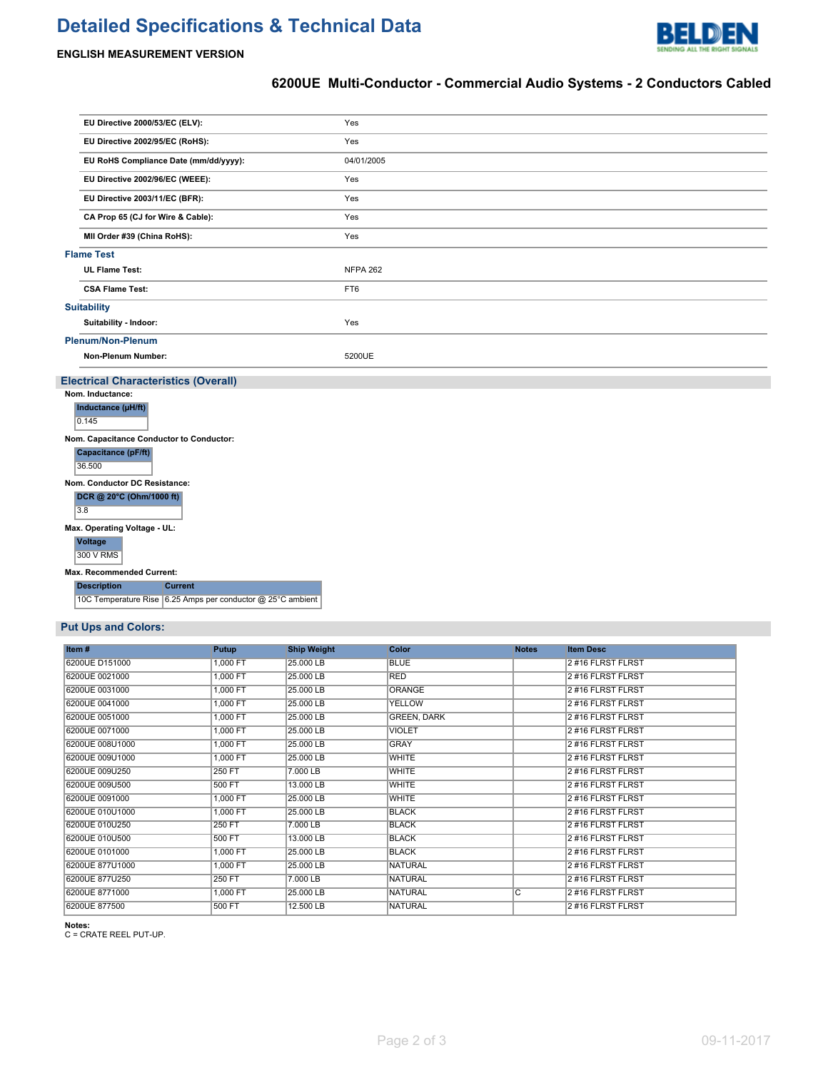# **Detailed Specifications & Technical Data**



### **6200UE Multi-Conductor - Commercial Audio Systems - 2 Conductors Cabled**

| EU Directive 2000/53/EC (ELV):                              | Yes             |
|-------------------------------------------------------------|-----------------|
| EU Directive 2002/95/EC (RoHS):                             | Yes             |
| EU RoHS Compliance Date (mm/dd/yyyy):                       | 04/01/2005      |
| EU Directive 2002/96/EC (WEEE):                             | Yes             |
| EU Directive 2003/11/EC (BFR):                              | Yes             |
| CA Prop 65 (CJ for Wire & Cable):                           | Yes             |
| MII Order #39 (China RoHS):                                 | Yes             |
| <b>Flame Test</b>                                           |                 |
| <b>UL Flame Test:</b>                                       | <b>NFPA 262</b> |
| <b>CSA Flame Test:</b>                                      | FT6             |
| <b>Suitability</b>                                          |                 |
| Suitability - Indoor:                                       | Yes             |
| <b>Plenum/Non-Plenum</b>                                    |                 |
| Non-Plenum Number:                                          | 5200UE          |
| <b>Electrical Characteristics (Overall)</b>                 |                 |
| Nom. Inductance:                                            |                 |
| Inductance (µH/ft)<br>0.145                                 |                 |
| Nom. Capacitance Conductor to Conductor:                    |                 |
| Capacitance (pF/ft)<br>36.500                               |                 |
| Nom. Conductor DC Resistance:                               |                 |
| DCR @ 20°C (Ohm/1000 ft)<br>$\overline{3.8}$                |                 |
| Max. Operating Voltage - UL:                                |                 |
| <b>Voltage</b><br>300 V RMS                                 |                 |
| Max. Recommended Current:                                   |                 |
| <b>Description</b><br><b>Current</b>                        |                 |
| 10C Temperature Rise 6.25 Amps per conductor @ 25°C ambient |                 |

### **Put Ups and Colors:**

| Item#           | Putup    | <b>Ship Weight</b> | Color              | <b>Notes</b>   | <b>Item Desc</b>  |
|-----------------|----------|--------------------|--------------------|----------------|-------------------|
| 6200UE D151000  | 1.000 FT | 25,000 LB          | <b>BLUE</b>        |                | 2#16 FLRST FLRST  |
| 6200UE 0021000  | 1,000 FT | 25.000 LB          | <b>RED</b>         |                | 2#16 FLRST FLRST  |
| 6200UE 0031000  | 1,000 FT | 25,000 LB          | <b>ORANGE</b>      |                | 2#16 FLRST FLRST  |
| 6200UE 0041000  | 1,000 FT | 25.000 LB          | <b>YELLOW</b>      |                | 2#16 FLRST FLRST  |
| 6200UE 0051000  | 1,000 FT | 25.000 LB          | <b>GREEN, DARK</b> |                | 2#16 FLRST FLRST  |
| 6200UE 0071000  | 1,000 FT | 25.000 LB          | <b>VIOLET</b>      |                | 2#16 FLRST FLRST  |
| 6200UE 008U1000 | 1,000 FT | 25,000 LB          | <b>GRAY</b>        |                | 2#16 FLRST FLRST  |
| 6200UE 009U1000 | 1,000 FT | 25.000 LB          | <b>WHITE</b>       |                | 2#16 FLRST FLRST  |
| 6200UE 009U250  | 250 FT   | 7.000 LB           | <b>WHITE</b>       |                | 2#16 FLRST FLRST  |
| 6200UE 009U500  | 500 FT   | 13,000 LB          | <b>WHITE</b>       |                | 2 #16 FLRST FLRST |
| 6200UE 0091000  | 1,000 FT | 25,000 LB          | <b>WHITE</b>       |                | 2#16 FLRST FLRST  |
| 6200UE 010U1000 | 1,000 FT | 25,000 LB          | <b>BLACK</b>       |                | 2#16 FLRST FLRST  |
| 6200UE 010U250  | 250 FT   | 7.000 LB           | <b>BLACK</b>       |                | 2#16 FLRST FLRST  |
| 6200UE 010U500  | 500 FT   | 13,000 LB          | <b>BLACK</b>       |                | 2#16 FLRST FLRST  |
| 6200UE 0101000  | 1,000 FT | 25,000 LB          | <b>BLACK</b>       |                | 2#16 FLRST FLRST  |
| 6200UE 877U1000 | 1,000 FT | 25.000 LB          | <b>NATURAL</b>     |                | 2#16 FLRST FLRST  |
| 6200UE 877U250  | 250 FT   | 7.000 LB           | <b>NATURAL</b>     |                | 2#16 FLRST FLRST  |
| 6200UE 8771000  | 1,000 FT | 25,000 LB          | <b>NATURAL</b>     | $\overline{c}$ | 2#16 FLRST FLRST  |
| 6200UE 877500   | 500 FT   | 12,500 LB          | <b>NATURAL</b>     |                | 2#16 FLRST FLRST  |

**Notes:** C = CRATE REEL PUT-UP.